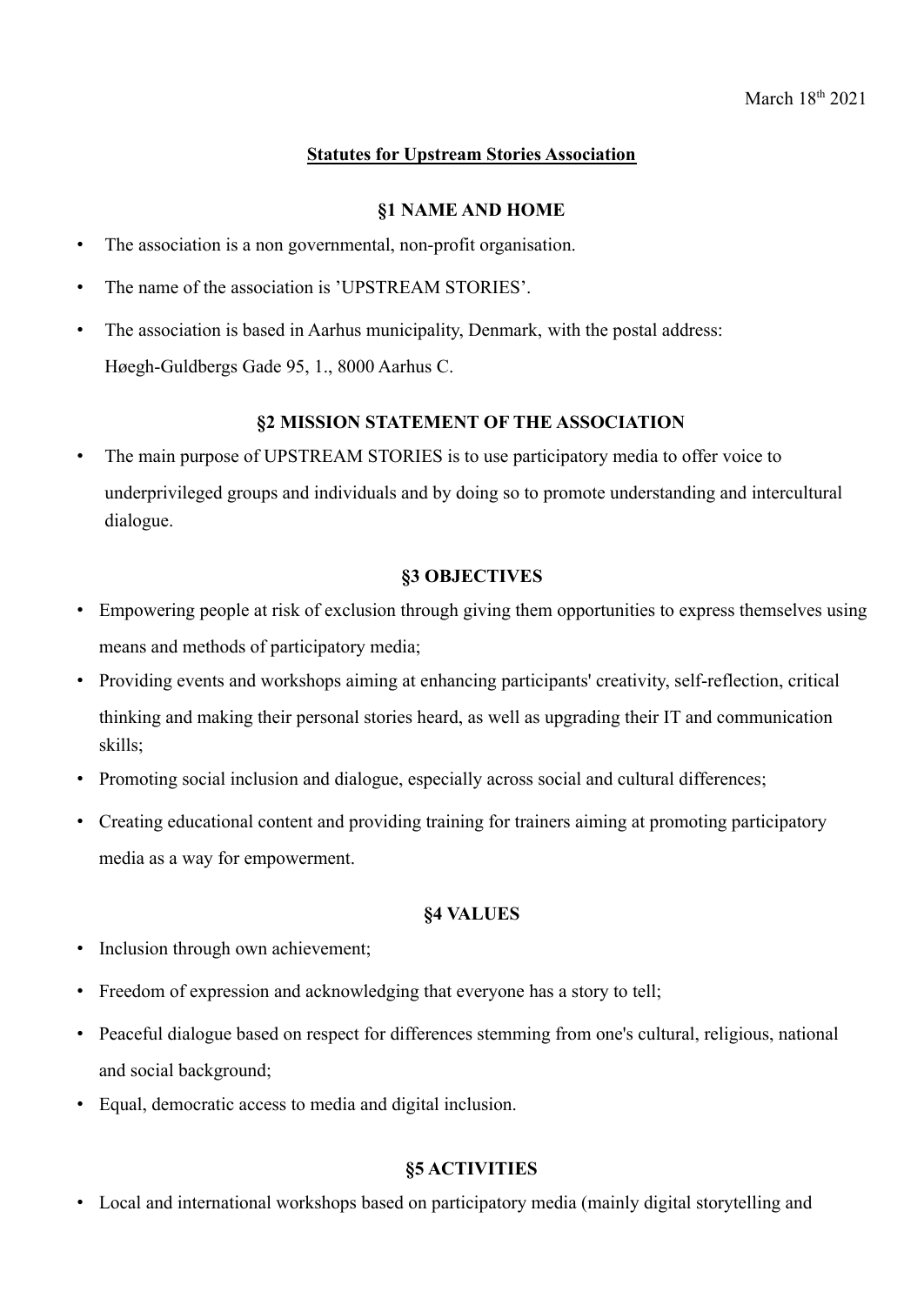# **Statutes for Upstream Stories Association**

### **§1 NAME AND HOME**

- The association is a non governmental, non-profit organisation.
- The name of the association is 'UPSTREAM STORIES'.
- The association is based in Aarhus municipality, Denmark, with the postal address: Høegh-Guldbergs Gade 95, 1., 8000 Aarhus C.

## **§2 MISSION STATEMENT OF THE ASSOCIATION**

• The main purpose of UPSTREAM STORIES is to use participatory media to offer voice to underprivileged groups and individuals and by doing so to promote understanding and intercultural dialogue.

#### **§3 OBJECTIVES**

- Empowering people at risk of exclusion through giving them opportunities to express themselves using means and methods of participatory media;
- Providing events and workshops aiming at enhancing participants' creativity, self-reflection, critical thinking and making their personal stories heard, as well as upgrading their IT and communication skills;
- Promoting social inclusion and dialogue, especially across social and cultural differences;
- Creating educational content and providing training for trainers aiming at promoting participatory media as a way for empowerment.

### **§4 VALUES**

- Inclusion through own achievement;
- Freedom of expression and acknowledging that everyone has a story to tell;
- Peaceful dialogue based on respect for differences stemming from one's cultural, religious, national and social background;
- Equal, democratic access to media and digital inclusion.

## **§5 ACTIVITIES**

• Local and international workshops based on participatory media (mainly digital storytelling and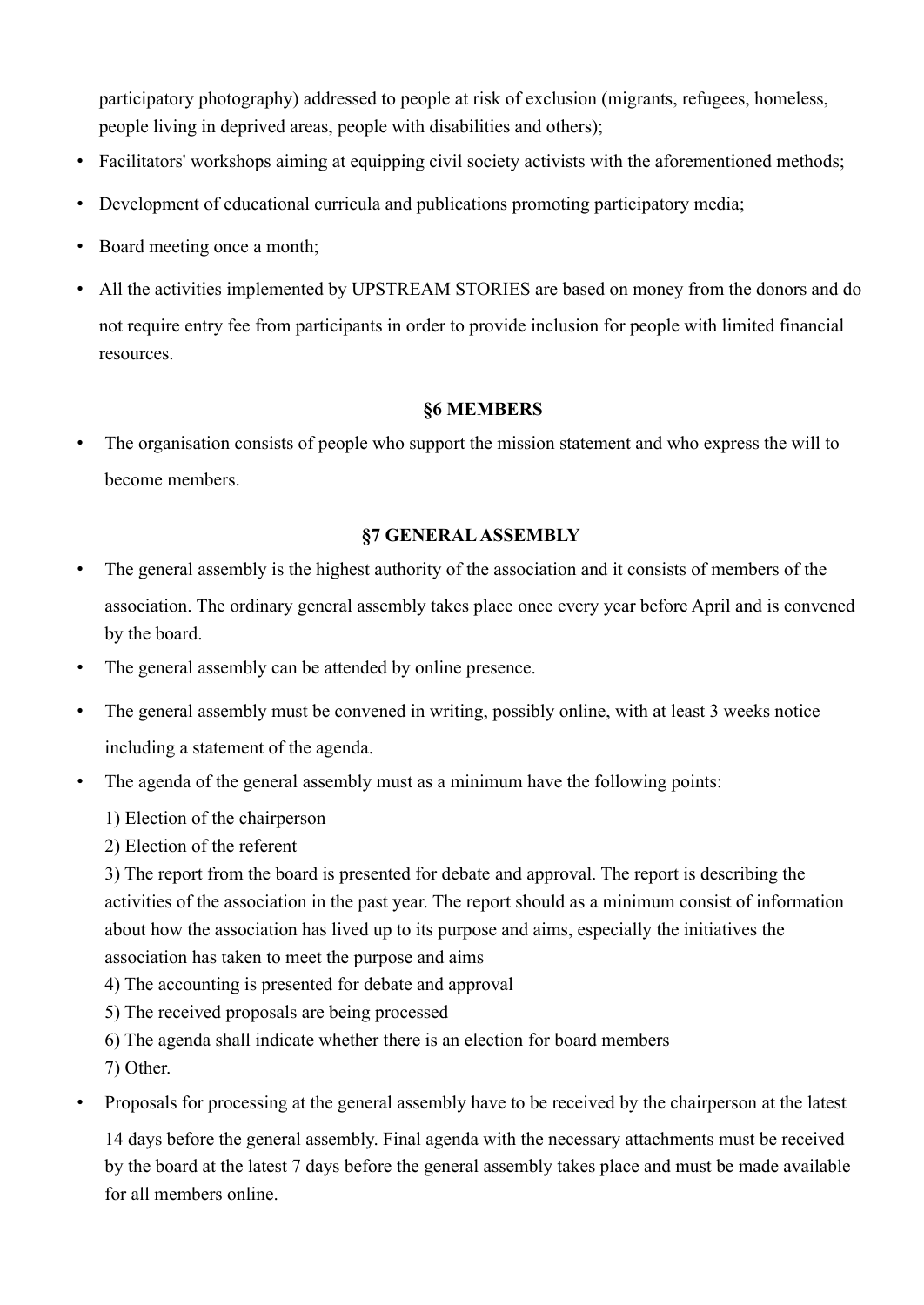participatory photography) addressed to people at risk of exclusion (migrants, refugees, homeless, people living in deprived areas, people with disabilities and others);

- Facilitators' workshops aiming at equipping civil society activists with the aforementioned methods;
- Development of educational curricula and publications promoting participatory media;
- Board meeting once a month;
- All the activities implemented by UPSTREAM STORIES are based on money from the donors and do not require entry fee from participants in order to provide inclusion for people with limited financial resources.

# **§6 MEMBERS**

• The organisation consists of people who support the mission statement and who express the will to become members.

# **§7 GENERALASSEMBLY**

- The general assembly is the highest authority of the association and it consists of members of the association. The ordinary general assembly takes place once every year before April and is convened by the board.
- The general assembly can be attended by online presence.
- The general assembly must be convened in writing, possibly online, with at least 3 weeks notice including a statement of the agenda.
- The agenda of the general assembly must as a minimum have the following points:
	- 1) Election of the chairperson
	- 2) Election of the referent

3) The report from the board is presented for debate and approval. The report is describing the activities of the association in the past year. The report should as a minimum consist of information about how the association has lived up to its purpose and aims, especially the initiatives the association has taken to meet the purpose and aims

- 4) The accounting is presented for debate and approval
- 5) The received proposals are being processed
- 6) The agenda shall indicate whether there is an election for board members
- 7) Other.
- Proposals for processing at the general assembly have to be received by the chairperson at the latest

14 days before the general assembly. Final agenda with the necessary attachments must be received by the board at the latest 7 days before the general assembly takes place and must be made available for all members online.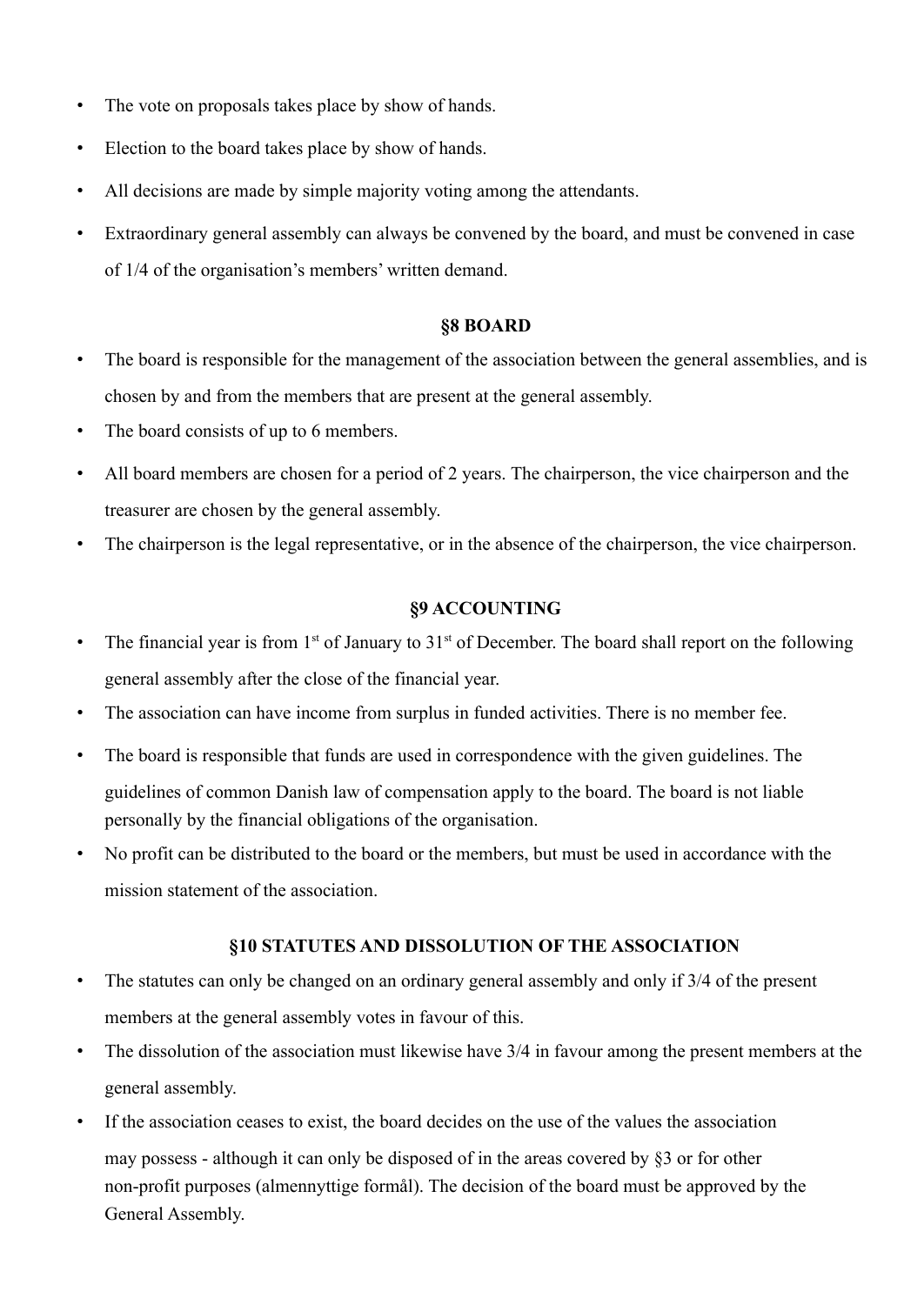- The vote on proposals takes place by show of hands.
- Election to the board takes place by show of hands.
- All decisions are made by simple majority voting among the attendants.
- Extraordinary general assembly can always be convened by the board, and must be convened in case of 1/4 of the organisation's members' written demand.

#### **§8 BOARD**

- The board is responsible for the management of the association between the general assemblies, and is chosen by and from the members that are present at the general assembly.
- The board consists of up to 6 members.
- All board members are chosen for a period of 2 years. The chairperson, the vice chairperson and the treasurer are chosen by the general assembly.
- The chairperson is the legal representative, or in the absence of the chairperson, the vice chairperson.

## **§9 ACCOUNTING**

- The financial year is from  $1<sup>st</sup>$  of January to  $31<sup>st</sup>$  of December. The board shall report on the following general assembly after the close of the financial year.
- The association can have income from surplus in funded activities. There is no member fee.
- The board is responsible that funds are used in correspondence with the given guidelines. The guidelines of common Danish law of compensation apply to the board. The board is not liable personally by the financial obligations of the organisation.
- No profit can be distributed to the board or the members, but must be used in accordance with the mission statement of the association.

## **§10 STATUTES AND DISSOLUTION OF THE ASSOCIATION**

- The statutes can only be changed on an ordinary general assembly and only if 3/4 of the present members at the general assembly votes in favour of this.
- The dissolution of the association must likewise have  $3/4$  in favour among the present members at the general assembly.
- If the association ceases to exist, the board decides on the use of the values the association may possess - although it can only be disposed of in the areas covered by §3 or for other non-profit purposes (almennyttige formål). The decision of the board must be approved by the General Assembly.